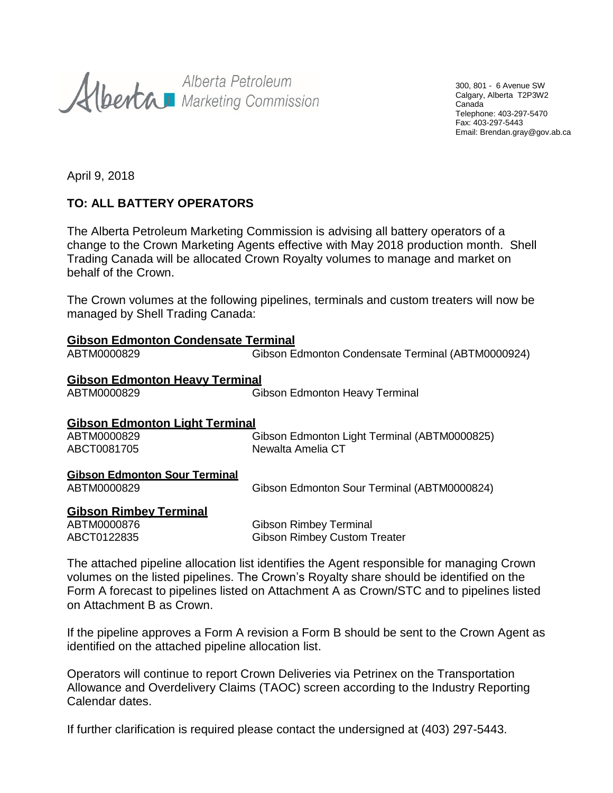Alberta Petroleum<br>Alberta Marketing Commission

300, 801 - 6 Avenue SW Calgary, Alberta T2P3W2 Canada Telephone: 403-297-5470 Fax: 403-297-5443 Email: Brendan.gray@gov.ab.ca

April 9, 2018

# **TO: ALL BATTERY OPERATORS**

The Alberta Petroleum Marketing Commission is advising all battery operators of a change to the Crown Marketing Agents effective with May 2018 production month. Shell Trading Canada will be allocated Crown Royalty volumes to manage and market on behalf of the Crown.

The Crown volumes at the following pipelines, terminals and custom treaters will now be managed by Shell Trading Canada:

| <u>Gibson Edmonton Condensate Terminal</u> |                                                   |  |
|--------------------------------------------|---------------------------------------------------|--|
| ABTM0000829                                | Gibson Edmonton Condensate Terminal (ABTM0000924) |  |
| <b>Gibson Edmonton Heavy Terminal</b>      |                                                   |  |
| ABTM0000829                                | <b>Gibson Edmonton Heavy Terminal</b>             |  |
| Gibson Edmonton Light Terminal             |                                                   |  |
| ABTM0000829                                | Gibson Edmonton Light Terminal (ABTM0000825)      |  |
| ABCT0081705                                | Newalta Amelia CT                                 |  |
| Gibson Edmonton Sour Terminal              |                                                   |  |
| ABTM0000829                                | Gibson Edmonton Sour Terminal (ABTM0000824)       |  |
| <u>Gibson Rimbey Terminal</u>              |                                                   |  |

| ABTM0000876 | <b>Gibson Rimbey Terminal</b>       |
|-------------|-------------------------------------|
| ABCT0122835 | <b>Gibson Rimbey Custom Treater</b> |

The attached pipeline allocation list identifies the Agent responsible for managing Crown volumes on the listed pipelines. The Crown's Royalty share should be identified on the Form A forecast to pipelines listed on Attachment A as Crown/STC and to pipelines listed on Attachment B as Crown.

If the pipeline approves a Form A revision a Form B should be sent to the Crown Agent as identified on the attached pipeline allocation list.

Operators will continue to report Crown Deliveries via Petrinex on the Transportation Allowance and Overdelivery Claims (TAOC) screen according to the Industry Reporting Calendar dates.

If further clarification is required please contact the undersigned at (403) 297-5443.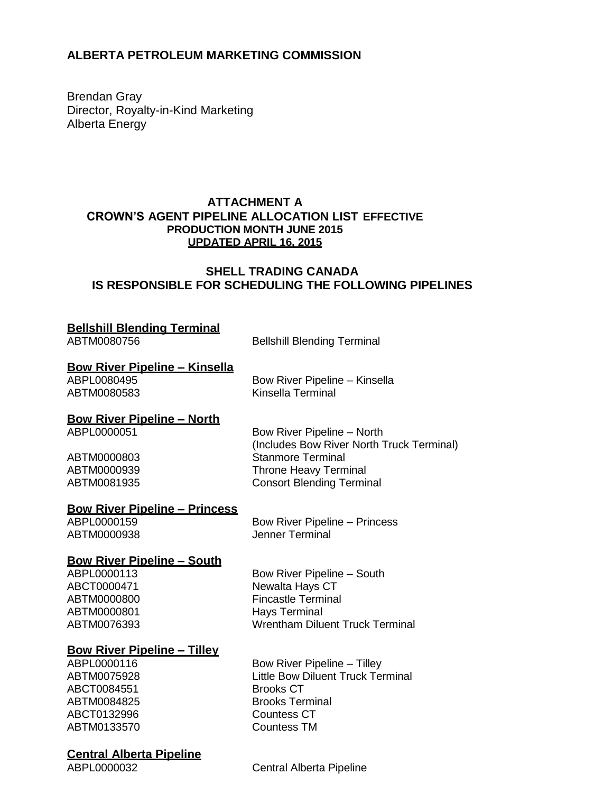# **ALBERTA PETROLEUM MARKETING COMMISSION**

Brendan Gray Director, Royalty-in-Kind Marketing Alberta Energy

# **ATTACHMENT A CROWN'S AGENT PIPELINE ALLOCATION LIST EFFECTIVE PRODUCTION MONTH JUNE 2015 UPDATED APRIL 16, 2015**

# **SHELL TRADING CANADA IS RESPONSIBLE FOR SCHEDULING THE FOLLOWING PIPELINES**

# **Bellshill Blending Terminal**

ABTM0080756 Bellshill Blending Terminal

#### **Bow River Pipeline – Kinsella**

ABPL0080495 Bow River Pipeline – Kinsella ABTM0080583 Kinsella Terminal

# **Bow River Pipeline – North**

Bow River Pipeline – North (Includes Bow River North Truck Terminal) ABTM0000803 Stanmore Terminal ABTM0000939 Throne Heavy Terminal ABTM0081935 Consort Blending Terminal

# **Bow River Pipeline – Princess**

ABTM0000938

ABPL0000159 Bow River Pipeline – Princess<br>ABTM0000938 ABTM0000938

#### **Bow River Pipeline – South**

ABTM0000801 Hays Terminal

**Bow River Pipeline – Tilley**

ABCT0084551 ABTM0084825 Brooks Terminal ABCT0132996 Countess CT<br>
ABTM0133570 Countess TM ABTM0133570

# **Central Alberta Pipeline**

ABPL0000113 Bow River Pipeline – South ABCT0000471 Newalta Hays CT ABTM0000800 Fincastle Terminal ABTM0076393 Wrentham Diluent Truck Terminal

ABPL0000116 Bow River Pipeline – Tilley ABTM0075928 Little Bow Diluent Truck Terminal<br>ABCT0084551 Brooks CT

ABPL0000032 Central Alberta Pipeline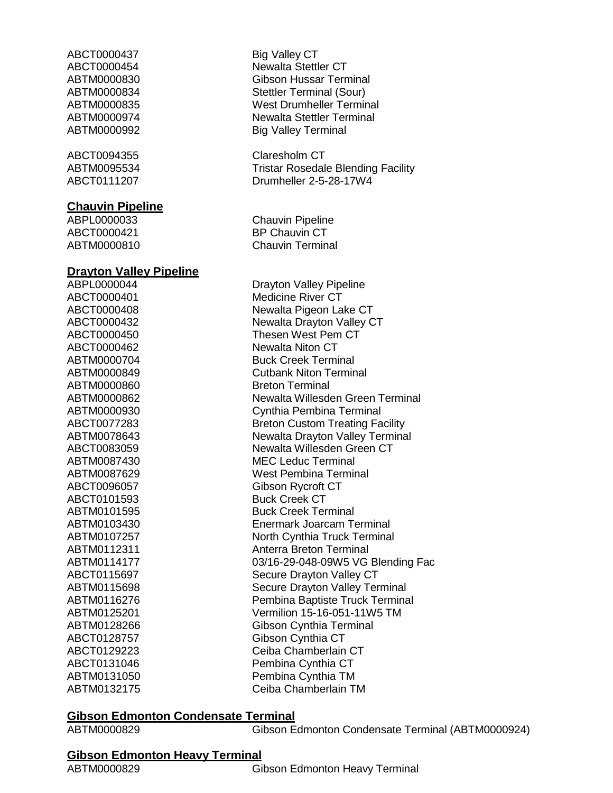ABCT0000437 Big Valley CT

ABCT0094355 Claresholm CT

#### **Chauvin Pipeline**

ABCT0000421 BP Chauvin CT

#### **Drayton Valley Pipeline**

ABTM0000860 Breton Terminal ABCT0101593 Buck Creek CT

ABCT0000454 Newalta Stettler CT ABTM0000830 Gibson Hussar Terminal ABTM0000834 Stettler Terminal (Sour) ABTM0000835 West Drumheller Terminal ABTM0000974 Newalta Stettler Terminal ABTM0000992 Big Valley Terminal

ABTM0095534 Tristar Rosedale Blending Facility ABCT0111207 Drumheller 2-5-28-17W4

ABPL0000033 Chauvin Pipeline ABTM0000810 Chauvin Terminal

ABPL0000044 Drayton Valley Pipeline ABCT0000401 Medicine River CT ABCT0000408 Newalta Pigeon Lake CT ABCT0000432 Newalta Drayton Valley CT ABCT0000450 Thesen West Pem CT ABCT0000462 Newalta Niton CT ABTM0000704 Buck Creek Terminal ABTM0000849 Cutbank Niton Terminal ABTM0000862 Newalta Willesden Green Terminal ABTM0000930 Cynthia Pembina Terminal ABCT0077283 Breton Custom Treating Facility ABTM0078643 Newalta Drayton Valley Terminal ABCT0083059 Newalta Willesden Green CT ABTM0087430 MEC Leduc Terminal ABTM0087629 West Pembina Terminal ABCT0096057 Gibson Rycroft CT ABTM0101595 Buck Creek Terminal ABTM0103430 Enermark Joarcam Terminal ABTM0107257 North Cynthia Truck Terminal ABTM0112311 Anterra Breton Terminal ABTM0114177 03/16-29-048-09W5 VG Blending Fac ABCT0115697 Secure Drayton Valley CT ABTM0115698 Secure Drayton Valley Terminal ABTM0116276 Pembina Baptiste Truck Terminal ABTM0125201 Vermilion 15-16-051-11W5 TM ABTM0128266 Gibson Cynthia Terminal ABCT0128757 Gibson Cynthia CT ABCT0129223 Ceiba Chamberlain CT ABCT0131046 Pembina Cynthia CT ABTM0131050 Pembina Cynthia TM ABTM0132175 Ceiba Chamberlain TM

### **Gibson Edmonton Condensate Terminal**

ABTM0000829 Gibson Edmonton Condensate Terminal (ABTM0000924)

# **Gibson Edmonton Heavy Terminal**

ABTM0000829 Gibson Edmonton Heavy Terminal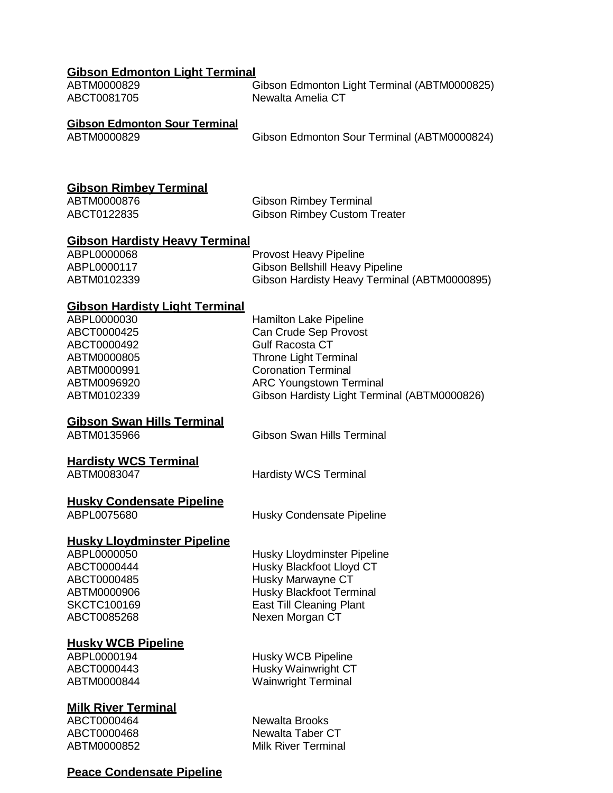| <b>Gibson Edmonton Light Terminal</b><br>ABTM0000829<br>ABCT0081705                                                                            | Gibson Edmonton Light Terminal (ABTM0000825)<br>Newalta Amelia CT                                                                                                                                                  |
|------------------------------------------------------------------------------------------------------------------------------------------------|--------------------------------------------------------------------------------------------------------------------------------------------------------------------------------------------------------------------|
| <b>Gibson Edmonton Sour Terminal</b><br>ABTM0000829                                                                                            | Gibson Edmonton Sour Terminal (ABTM0000824)                                                                                                                                                                        |
| <b>Gibson Rimbey Terminal</b><br>ABTM0000876<br>ABCT0122835                                                                                    | <b>Gibson Rimbey Terminal</b><br><b>Gibson Rimbey Custom Treater</b>                                                                                                                                               |
| <b>Gibson Hardisty Heavy Terminal</b><br>ABPL0000068<br>ABPL0000117<br>ABTM0102339                                                             | <b>Provost Heavy Pipeline</b><br><b>Gibson Bellshill Heavy Pipeline</b><br>Gibson Hardisty Heavy Terminal (ABTM0000895)                                                                                            |
| <b>Gibson Hardisty Light Terminal</b><br>ABPL0000030<br>ABCT0000425<br>ABCT0000492<br>ABTM0000805<br>ABTM0000991<br>ABTM0096920<br>ABTM0102339 | Hamilton Lake Pipeline<br>Can Crude Sep Provost<br><b>Gulf Racosta CT</b><br>Throne Light Terminal<br><b>Coronation Terminal</b><br><b>ARC Youngstown Terminal</b><br>Gibson Hardisty Light Terminal (ABTM0000826) |
| <b>Gibson Swan Hills Terminal</b><br>ABTM0135966                                                                                               | <b>Gibson Swan Hills Terminal</b>                                                                                                                                                                                  |
| <b>Hardisty WCS Terminal</b><br>ABTM0083047                                                                                                    | <b>Hardisty WCS Terminal</b>                                                                                                                                                                                       |
| <b>Husky Condensate Pipeline</b><br>ABPL0075680                                                                                                | <b>Husky Condensate Pipeline</b>                                                                                                                                                                                   |
| <b>Husky Lloydminster Pipeline</b><br>ABPL0000050<br>ABCT0000444<br>ABCT0000485<br>ABTM0000906<br>SKCTC100169<br>ABCT0085268                   | Husky Lloydminster Pipeline<br>Husky Blackfoot Lloyd CT<br>Husky Marwayne CT<br><b>Husky Blackfoot Terminal</b><br><b>East Till Cleaning Plant</b><br>Nexen Morgan CT                                              |

# **Husky WCB Pipeline**

# **Milk River Terminal**

ABPL0000194 Husky WCB Pipeline<br>ABCT0000443 Husky Wainwright CT Husky Wainwright CT ABTM0000844 Wainwright Terminal

ABCT0000464 Newalta Brooks ABCT0000468 Newalta Taber CT ABTM0000852 Milk River Terminal

# **Peace Condensate Pipeline**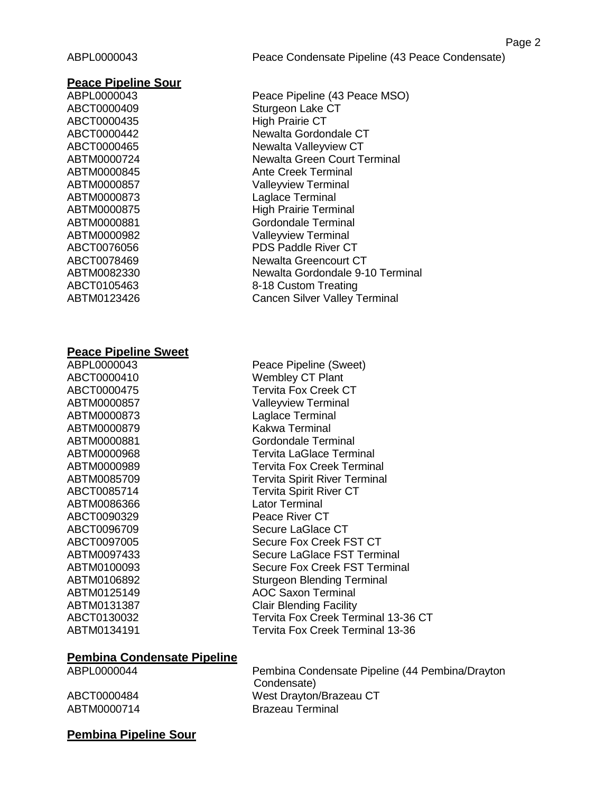#### **Peace Pipeline Sour**

| ABPL0000043 |
|-------------|
| ABCT0000409 |
| ABCT0000435 |
| ABCT0000442 |
| ABCT0000465 |
| ABTM0000724 |
| ABTM0000845 |
| ABTM0000857 |
| ABTM0000873 |
| ABTM0000875 |
| ABTM0000881 |
| ABTM0000982 |
| ABCT0076056 |
| ABCT0078469 |
| ABTM0082330 |
| ABCT0105463 |
| ABTM0123426 |

#### **Peace Pipeline Sweet**

ABTM0000879 Kakwa Terminal ABTM0086366 Lator Terminal ABCT0090329 Peace River CT

Peace Pipeline (43 Peace MSO) Sturgeon Lake CT **High Prairie CT** Newalta Gordondale CT **Newalta Valleyview CT Newalta Green Court Terminal Ante Creek Terminal Valleyview Terminal Laglace Terminal High Prairie Terminal** Gordondale Terminal **Valleyview Terminal** PDS Paddle River CT **Newalta Greencourt CT** Newalta Gordondale 9-10 Terminal 8-18 Custom Treating **Cancen Silver Valley Terminal** 

ABPL0000043 Peace Pipeline (Sweet) ABCT0000410 Wembley CT Plant ABCT0000475 Tervita Fox Creek CT ABTM0000857 Valleyview Terminal ABTM0000873 Laglace Terminal ABTM0000881 Gordondale Terminal ABTM0000968 Tervita LaGlace Terminal ABTM0000989 Tervita Fox Creek Terminal ABTM0085709 Tervita Spirit River Terminal ABCT0085714 Tervita Spirit River CT ABCT0096709 Secure LaGlace CT ABCT0097005 Secure Fox Creek FST CT ABTM0097433 Secure LaGlace FST Terminal ABTM0100093 Secure Fox Creek FST Terminal ABTM0106892 Sturgeon Blending Terminal ABTM0125149 AOC Saxon Terminal ABTM0131387 Clair Blending Facility ABCT0130032 Tervita Fox Creek Terminal 13-36 CT ABTM0134191 Tervita Fox Creek Terminal 13-36

# **Pembina Condensate Pipeline**

ABPL0000044 Pembina Condensate Pipeline (44 Pembina/Drayton Condensate) ABCT0000484 West Drayton/Brazeau CT ABTM0000714 Brazeau Terminal

# **Pembina Pipeline Sour**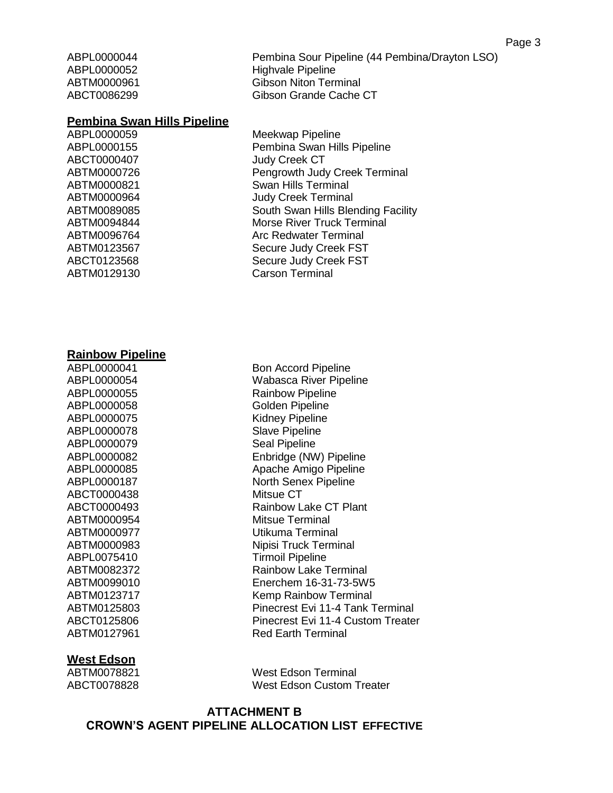ABPL0000044 Pembina Sour Pipeline (44 Pembina/Drayton LSO) ABPL0000052 Highvale Pipeline ABTM0000961 Gibson Niton Terminal ABCT0086299 Gibson Grande Cache CT

#### **Pembina Swan Hills Pipeline**

ABCT0000407 Judy Creek CT

ABPL0000059 Meekwap Pipeline ABPL0000155 Pembina Swan Hills Pipeline ABTM0000726 Pengrowth Judy Creek Terminal ABTM0000821 Swan Hills Terminal ABTM0000964 Judy Creek Terminal ABTM0089085 South Swan Hills Blending Facility ABTM0094844 Morse River Truck Terminal ABTM0096764 Arc Redwater Terminal ABTM0123567 Secure Judy Creek FST ABCT0123568 Secure Judy Creek FST ABTM0129130 Carson Terminal

#### **Rainbow Pipeline**

ABPL0000058 Golden Pipeline ABPL0000075 Kidney Pipeline ABPL0000078 Slave Pipeline ABPL0000079 Seal Pipeline ABCT0000438 Mitsue CT ABTM0000954 Mitsue Terminal ABPL0075410 Tirmoil Pipeline

# **West Edson**

ABPL0000041 Bon Accord Pipeline ABPL0000054 Wabasca River Pipeline ABPL0000055 Rainbow Pipeline ABPL0000082 Enbridge (NW) Pipeline ABPL0000085 Apache Amigo Pipeline ABPL0000187 North Senex Pipeline ABCT0000493 Rainbow Lake CT Plant ABTM0000977 Utikuma Terminal ABTM0000983 Nipisi Truck Terminal ABTM0082372 Rainbow Lake Terminal ABTM0099010 Enerchem 16-31-73-5W5 ABTM0123717 Kemp Rainbow Terminal ABTM0125803 Pinecrest Evi 11-4 Tank Terminal ABCT0125806 Pinecrest Evi 11-4 Custom Treater ABTM0127961 Red Earth Terminal

ABTM0078821 West Edson Terminal ABCT0078828 West Edson Custom Treater

# **ATTACHMENT B CROWN'S AGENT PIPELINE ALLOCATION LIST EFFECTIVE**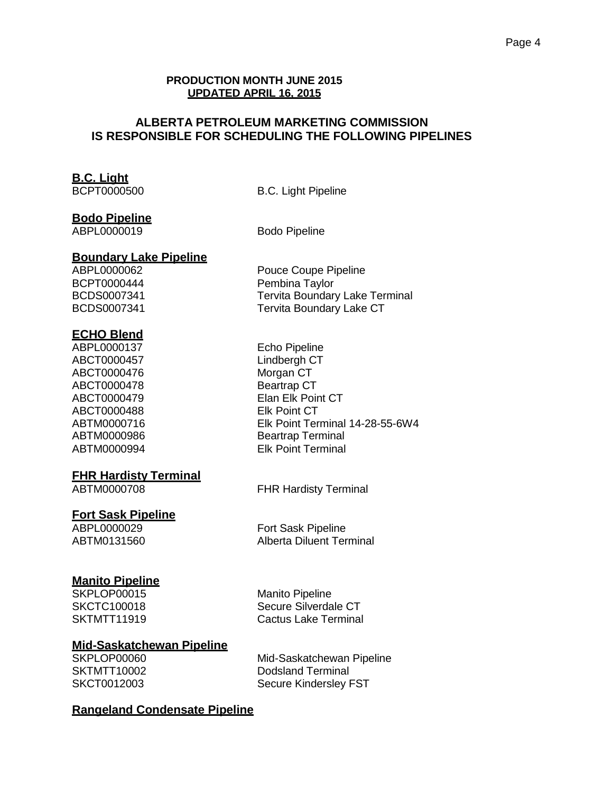### **PRODUCTION MONTH JUNE 2015 UPDATED APRIL 16, 2015**

# **ALBERTA PETROLEUM MARKETING COMMISSION IS RESPONSIBLE FOR SCHEDULING THE FOLLOWING PIPELINES**

# **B.C. Light**

B.C. Light Pipeline

# **Bodo Pipeline**

ABPL0000019 Bodo Pipeline

#### **Boundary Lake Pipeline**

# **ECHO Blend**

ABPL0000137 Echo Pipeline ABCT0000457 Lindbergh CT ABCT0000476 Morgan CT ABCT0000478 Beartrap CT ABCT0000488 Elk Point CT

### **FHR Hardisty Terminal**

# **Fort Sask Pipeline**

# **Manito Pipeline**

SKPLOP00015 Manito Pipeline

SKCTC100018 Secure Silverdale CT SKTMTT11919 Cactus Lake Terminal

# **Mid-Saskatchewan Pipeline**

SKPLOP00060 Mid-Saskatchewan Pipeline SKTMTT10002 Dodsland Terminal SKCT0012003 Secure Kindersley FST

# **Rangeland Condensate Pipeline**

ABPL0000062 Pouce Coupe Pipeline BCPT0000444 Pembina Taylor BCDS0007341 Tervita Boundary Lake Terminal BCDS0007341 Tervita Boundary Lake CT

ABCT0000479 Elan Elk Point CT ABTM0000716 Elk Point Terminal 14-28-55-6W4 ABTM0000986 Beartrap Terminal ABTM0000994 Elk Point Terminal

ABTM0000708 FHR Hardisty Terminal

ABPL0000029 Fort Sask Pipeline ABTM0131560 Alberta Diluent Terminal